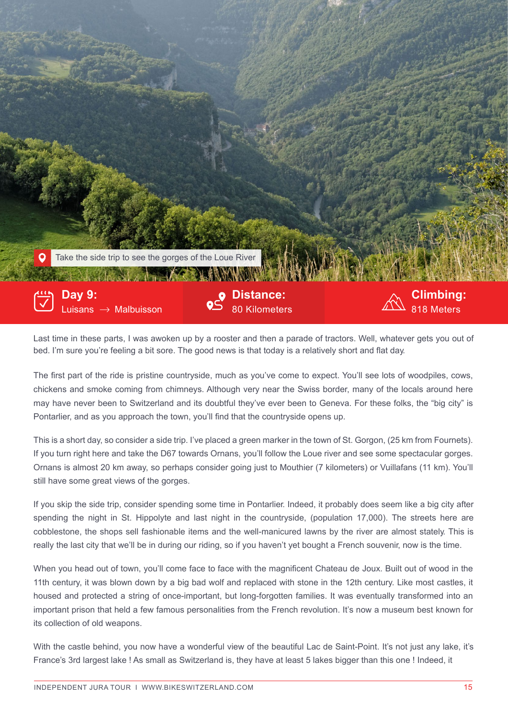

Last time in these parts, I was awoken up by a rooster and then a parade of tractors. Well, whatever gets you out of bed. I'm sure you're feeling a bit sore. The good news is that today is a relatively short and flat day.

The first part of the ride is pristine countryside, much as you've come to expect. You'll see lots of woodpiles, cows, chickens and smoke coming from chimneys. Although very near the Swiss border, many of the locals around here may have never been to Switzerland and its doubtful they've ever been to Geneva. For these folks, the "big city" is Pontarlier, and as you approach the town, you'll find that the countryside opens up.

This is a short day, so consider a side trip. I've placed a green marker in the town of St. Gorgon, (25 km from Fournets). If you turn right here and take the D67 towards Ornans, you'll follow the Loue river and see some spectacular gorges. Ornans is almost 20 km away, so perhaps consider going just to Mouthier (7 kilometers) or Vuillafans (11 km). You'll still have some great views of the gorges.

If you skip the side trip, consider spending some time in Pontarlier. Indeed, it probably does seem like a big city after spending the night in St. Hippolyte and last night in the countryside, (population 17,000). The streets here are cobblestone, the shops sell fashionable items and the well-manicured lawns by the river are almost stately. This is really the last city that we'll be in during our riding, so if you haven't yet bought a French souvenir, now is the time.

When you head out of town, you'll come face to face with the magnificent Chateau de Joux. Built out of wood in the 11th century, it was blown down by a big bad wolf and replaced with stone in the 12th century. Like most castles, it housed and protected a string of once-important, but long-forgotten families. It was eventually transformed into an important prison that held a few famous personalities from the French revolution. It's now a museum best known for its collection of old weapons.

With the castle behind, you now have a wonderful view of the beautiful Lac de Saint-Point. It's not just any lake, it's France's 3rd largest lake ! As small as Switzerland is, they have at least 5 lakes bigger than this one ! Indeed, it